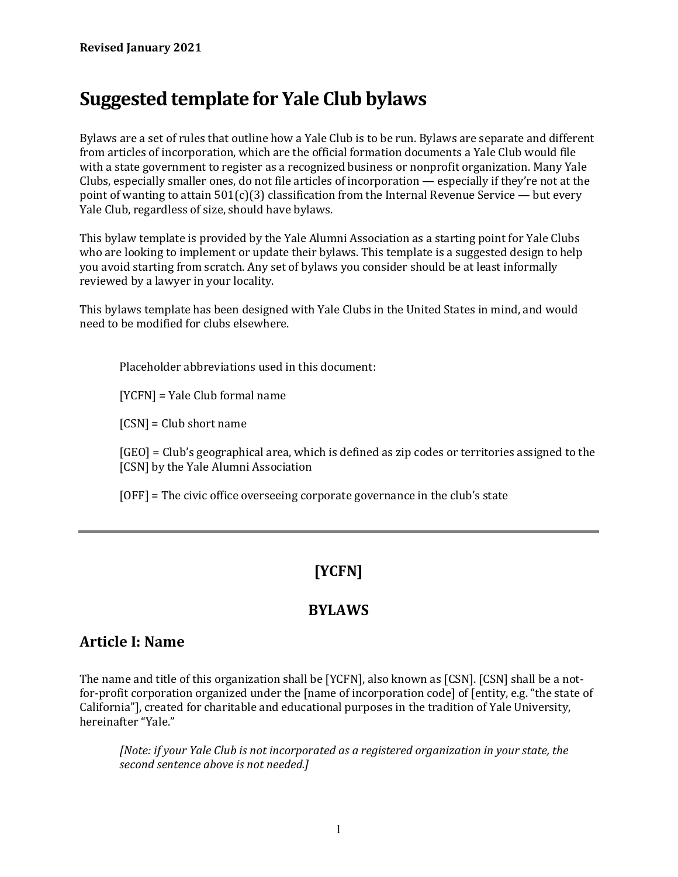# **Suggested template for Yale Club bylaws**

Bylaws are a set of rules that outline how a Yale Club is to be run. Bylaws are separate and different from articles of incorporation, which are the official formation documents a Yale Club would file with a state government to register as a recognized business or nonprofit organization. Many Yale Clubs, especially smaller ones, do not file articles of incorporation — especially if they're not at the point of wanting to attain  $501(c)(3)$  classification from the Internal Revenue Service — but every Yale Club, regardless of size, should have bylaws.

This bylaw template is provided by the Yale Alumni Association as a starting point for Yale Clubs who are looking to implement or update their bylaws. This template is a suggested design to help you avoid starting from scratch. Any set of bylaws you consider should be at least informally reviewed by a lawyer in your locality.

This bylaws template has been designed with Yale Clubs in the United States in mind, and would need to be modified for clubs elsewhere.

Placeholder abbreviations used in this document:

[YCFN] = Yale Club formal name

[CSN] = Club short name

[GEO] = Club's geographical area, which is defined as zip codes or territories assigned to the [CSN] by the Yale Alumni Association

[OFF] = The civic office overseeing corporate governance in the club's state

## **[YCFN]**

#### **BYLAWS**

#### **Article I: Name**

The name and title of this organization shall be [YCFN], also known as [CSN]. [CSN] shall be a notfor-profit corporation organized under the [name of incorporation code] of [entity, e.g. "the state of California"], created for charitable and educational purposes in the tradition of Yale University, hereinafter "Yale."

*[Note: if your Yale Club is not incorporated as a registered organization in your state, the second sentence above is not needed.]*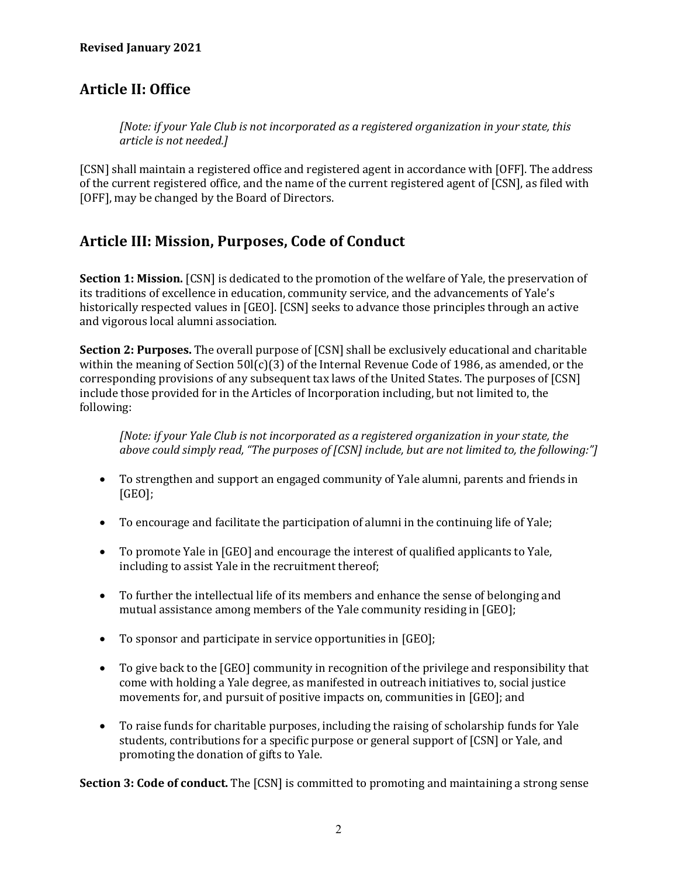#### **Revised January 2021**

#### **Article II: Office**

*[Note: if your Yale Club is not incorporated as a registered organization in your state, this article is not needed.]*

[CSN] shall maintain a registered office and registered agent in accordance with [OFF]. The address of the current registered office, and the name of the current registered agent of [CSN], as filed with [OFF], may be changed by the Board of Directors.

#### **Article III: Mission, Purposes, Code of Conduct**

**Section 1: Mission.** [CSN] is dedicated to the promotion of the welfare of Yale, the preservation of its traditions of excellence in education, community service, and the advancements of Yale's historically respected values in [GEO]. [CSN] seeks to advance those principles through an active and vigorous local alumni association.

**Section 2: Purposes.** The overall purpose of [CSN] shall be exclusively educational and charitable within the meaning of Section  $50\{(c)(3)$  of the Internal Revenue Code of 1986, as amended, or the corresponding provisions of any subsequent tax laws of the United States. The purposes of [CSN] include those provided for in the Articles of Incorporation including, but not limited to, the following:

*[Note: if your Yale Club is not incorporated as a registered organization in your state, the above could simply read, "The purposes of [CSN] include, but are not limited to, the following:"]*

- To strengthen and support an engaged community of Yale alumni, parents and friends in [GEO];
- To encourage and facilitate the participation of alumni in the continuing life of Yale;
- To promote Yale in [GEO] and encourage the interest of qualified applicants to Yale, including to assist Yale in the recruitment thereof;
- To further the intellectual life of its members and enhance the sense of belonging and mutual assistance among members of the Yale community residing in [GEO];
- To sponsor and participate in service opportunities in [GEO];
- To give back to the [GEO] community in recognition of the privilege and responsibility that come with holding a Yale degree, as manifested in outreach initiatives to, social justice movements for, and pursuit of positive impacts on, communities in [GEO]; and
- To raise funds for charitable purposes, including the raising of scholarship funds for Yale students, contributions for a specific purpose or general support of [CSN] or Yale, and promoting the donation of gifts to Yale.

**Section 3: Code of conduct.** The [CSN] is committed to promoting and maintaining a strong sense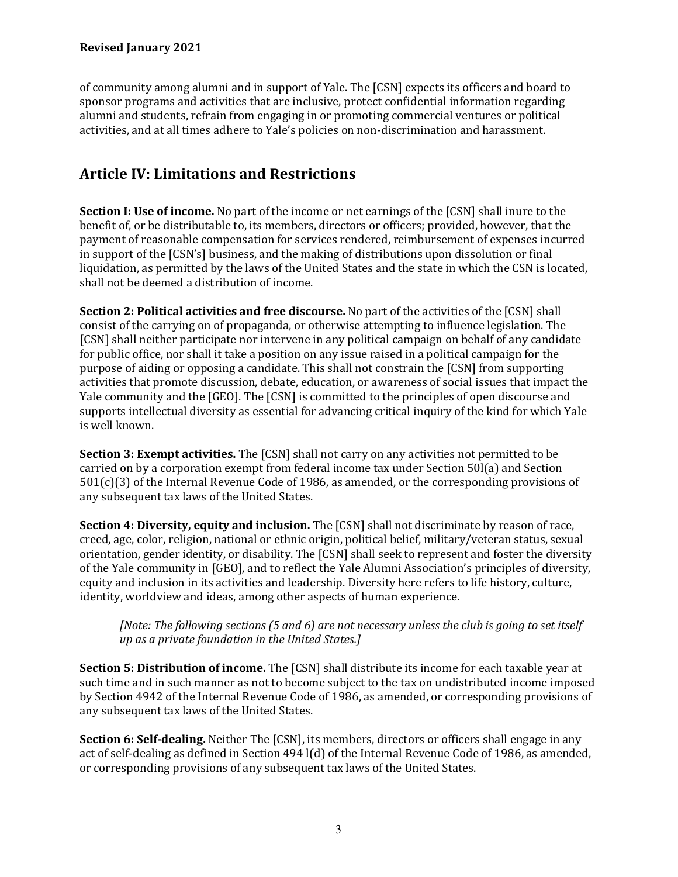#### **Revised January 2021**

of community among alumni and in support of Yale. The [CSN] expects its officers and board to sponsor programs and activities that are inclusive, protect confidential information regarding alumni and students, refrain from engaging in or promoting commercial ventures or political activities, and at all times adhere to Yale's policies on non-discrimination and harassment.

#### **Article IV: Limitations and Restrictions**

**Section I: Use of income.** No part of the income or net earnings of the [CSN] shall inure to the benefit of, or be distributable to, its members, directors or officers; provided, however, that the payment of reasonable compensation for services rendered, reimbursement of expenses incurred in support of the [CSN's] business, and the making of distributions upon dissolution or final liquidation, as permitted by the laws of the United States and the state in which the CSN is located, shall not be deemed a distribution of income.

**Section 2: Political activities and free discourse.** No part of the activities of the [CSN] shall consist of the carrying on of propaganda, or otherwise attempting to influence legislation. The [CSN] shall neither participate nor intervene in any political campaign on behalf of any candidate for public office, nor shall it take a position on any issue raised in a political campaign for the purpose of aiding or opposing a candidate. This shall not constrain the [CSN] from supporting activities that promote discussion, debate, education, or awareness of social issues that impact the Yale community and the [GEO]. The [CSN] is committed to the principles of open discourse and supports intellectual diversity as essential for advancing critical inquiry of the kind for which Yale is well known.

**Section 3: Exempt activities.** The [CSN] shall not carry on any activities not permitted to be carried on by a corporation exempt from federal income tax under Section 50l(a) and Section 501(c)(3) of the Internal Revenue Code of 1986, as amended, or the corresponding provisions of any subsequent tax laws of the United States.

**Section 4: Diversity, equity and inclusion.** The [CSN] shall not discriminate by reason of race, creed, age, color, religion, national or ethnic origin, political belief, military/veteran status, sexual orientation, gender identity, or disability. The [CSN] shall seek to represent and foster the diversity of the Yale community in [GEO], and to reflect the Yale Alumni Association's principles of diversity, equity and inclusion in its activities and leadership. Diversity here refers to life history, culture, identity, worldview and ideas, among other aspects of human experience.

*[Note: The following sections (5 and 6) are not necessary unless the club is going to set itself up as a private foundation in the United States.]*

**Section 5: Distribution of income.** The [CSN] shall distribute its income for each taxable year at such time and in such manner as not to become subject to the tax on undistributed income imposed by Section 4942 of the Internal Revenue Code of 1986, as amended, or corresponding provisions of any subsequent tax laws of the United States.

**Section 6: Self-dealing.** Neither The [CSN], its members, directors or officers shall engage in any act of self-dealing as defined in Section 494 l(d) of the Internal Revenue Code of 1986, as amended, or corresponding provisions of any subsequent tax laws of the United States.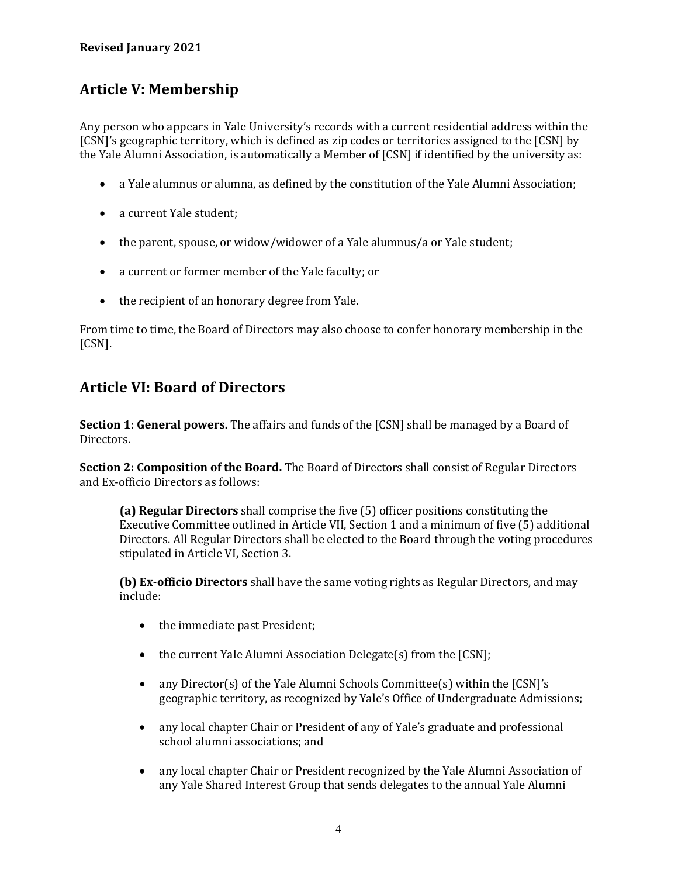### **Article V: Membership**

Any person who appears in Yale University's records with a current residential address within the [CSN]'s geographic territory, which is defined as zip codes or territories assigned to the [CSN] by the Yale Alumni Association, is automatically a Member of [CSN] if identified by the university as:

- a Yale alumnus or alumna, as defined by the constitution of the Yale Alumni Association;
- a current Yale student;
- the parent, spouse, or widow/widower of a Yale alumnus/a or Yale student;
- a current or former member of the Yale faculty; or
- the recipient of an honorary degree from Yale.

From time to time, the Board of Directors may also choose to confer honorary membership in the [CSN].

#### **Article VI: Board of Directors**

**Section 1: General powers.** The affairs and funds of the [CSN] shall be managed by a Board of Directors.

**Section 2: Composition of the Board.** The Board of Directors shall consist of Regular Directors and Ex-officio Directors as follows:

**(a) Regular Directors** shall comprise the five (5) officer positions constituting the Executive Committee outlined in Article VII, Section 1 and a minimum of five (5) additional Directors. All Regular Directors shall be elected to the Board through the voting procedures stipulated in Article VI, Section 3.

**(b) Ex-officio Directors** shall have the same voting rights as Regular Directors, and may include:

- the immediate past President;
- the current Yale Alumni Association Delegate(s) from the [CSN];
- any Director(s) of the Yale Alumni Schools Committee(s) within the [CSN]'s geographic territory, as recognized by Yale's Office of Undergraduate Admissions;
- any local chapter Chair or President of any of Yale's graduate and professional school alumni associations; and
- any local chapter Chair or President recognized by the Yale Alumni Association of any Yale Shared Interest Group that sends delegates to the annual Yale Alumni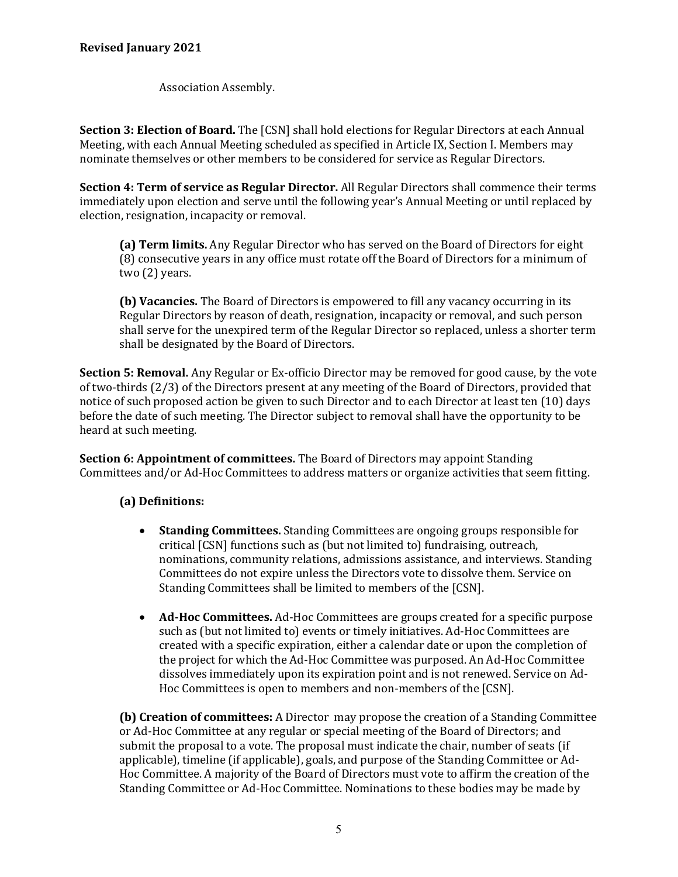Association Assembly.

**Section 3: Election of Board.** The [CSN] shall hold elections for Regular Directors at each Annual Meeting, with each Annual Meeting scheduled as specified in Article IX, Section I. Members may nominate themselves or other members to be considered for service as Regular Directors.

**Section 4: Term of service as Regular Director.** All Regular Directors shall commence their terms immediately upon election and serve until the following year's Annual Meeting or until replaced by election, resignation, incapacity or removal.

**(a) Term limits.** Any Regular Director who has served on the Board of Directors for eight (8) consecutive years in any office must rotate off the Board of Directors for a minimum of two (2) years.

**(b) Vacancies.** The Board of Directors is empowered to fill any vacancy occurring in its Regular Directors by reason of death, resignation, incapacity or removal, and such person shall serve for the unexpired term of the Regular Director so replaced, unless a shorter term shall be designated by the Board of Directors.

**Section 5: Removal.** Any Regular or Ex-officio Director may be removed for good cause, by the vote of two-thirds (2/3) of the Directors present at any meeting of the Board of Directors, provided that notice of such proposed action be given to such Director and to each Director at least ten (10) days before the date of such meeting. The Director subject to removal shall have the opportunity to be heard at such meeting.

**Section 6: Appointment of committees.** The Board of Directors may appoint Standing Committees and/or Ad-Hoc Committees to address matters or organize activities that seem fitting.

#### **(a) Definitions:**

- **Standing Committees.** Standing Committees are ongoing groups responsible for critical [CSN] functions such as (but not limited to) fundraising, outreach, nominations, community relations, admissions assistance, and interviews. Standing Committees do not expire unless the Directors vote to dissolve them. Service on Standing Committees shall be limited to members of the [CSN].
- **Ad-Hoc Committees.** Ad-Hoc Committees are groups created for a specific purpose such as (but not limited to) events or timely initiatives. Ad-Hoc Committees are created with a specific expiration, either a calendar date or upon the completion of the project for which the Ad-Hoc Committee was purposed. An Ad-Hoc Committee dissolves immediately upon its expiration point and is not renewed. Service on Ad-Hoc Committees is open to members and non-members of the [CSN].

**(b) Creation of committees:** A Director may propose the creation of a Standing Committee or Ad-Hoc Committee at any regular or special meeting of the Board of Directors; and submit the proposal to a vote. The proposal must indicate the chair, number of seats (if applicable), timeline (if applicable), goals, and purpose of the Standing Committee or Ad-Hoc Committee. A majority of the Board of Directors must vote to affirm the creation of the Standing Committee or Ad-Hoc Committee. Nominations to these bodies may be made by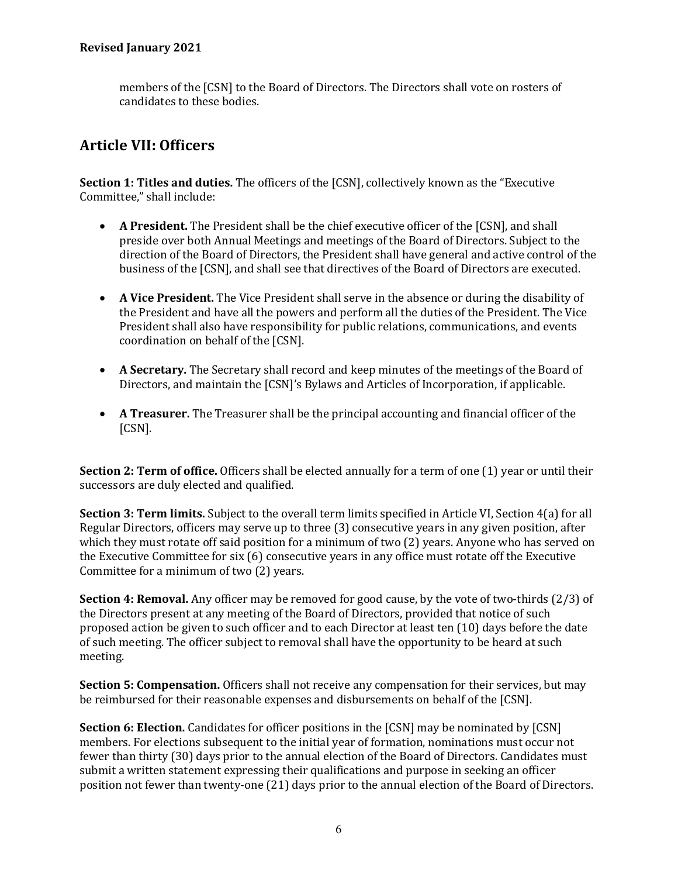members of the [CSN] to the Board of Directors. The Directors shall vote on rosters of candidates to these bodies.

#### **Article VII: Officers**

**Section 1: Titles and duties.** The officers of the [CSN], collectively known as the "Executive Committee," shall include:

- **A President.** The President shall be the chief executive officer of the [CSN], and shall preside over both Annual Meetings and meetings of the Board of Directors. Subject to the direction of the Board of Directors, the President shall have general and active control of the business of the [CSN], and shall see that directives of the Board of Directors are executed.
- **A Vice President.** The Vice President shall serve in the absence or during the disability of the President and have all the powers and perform all the duties of the President. The Vice President shall also have responsibility for public relations, communications, and events coordination on behalf of the [CSN].
- **A Secretary.** The Secretary shall record and keep minutes of the meetings of the Board of Directors, and maintain the [CSN]'s Bylaws and Articles of Incorporation, if applicable.
- **A Treasurer.** The Treasurer shall be the principal accounting and financial officer of the [CSN].

**Section 2: Term of office.** Officers shall be elected annually for a term of one (1) year or until their successors are duly elected and qualified.

**Section 3: Term limits.** Subject to the overall term limits specified in Article VI, Section 4(a) for all Regular Directors, officers may serve up to three (3) consecutive years in any given position, after which they must rotate off said position for a minimum of two (2) years. Anyone who has served on the Executive Committee for six (6) consecutive years in any office must rotate off the Executive Committee for a minimum of two (2) years.

**Section 4: Removal.** Any officer may be removed for good cause, by the vote of two-thirds (2/3) of the Directors present at any meeting of the Board of Directors, provided that notice of such proposed action be given to such officer and to each Director at least ten (10) days before the date of such meeting. The officer subject to removal shall have the opportunity to be heard at such meeting.

**Section 5: Compensation.** Officers shall not receive any compensation for their services, but may be reimbursed for their reasonable expenses and disbursements on behalf of the [CSN].

**Section 6: Election.** Candidates for officer positions in the [CSN] may be nominated by [CSN] members. For elections subsequent to the initial year of formation, nominations must occur not fewer than thirty (30) days prior to the annual election of the Board of Directors. Candidates must submit a written statement expressing their qualifications and purpose in seeking an officer position not fewer than twenty-one (21) days prior to the annual election of the Board of Directors.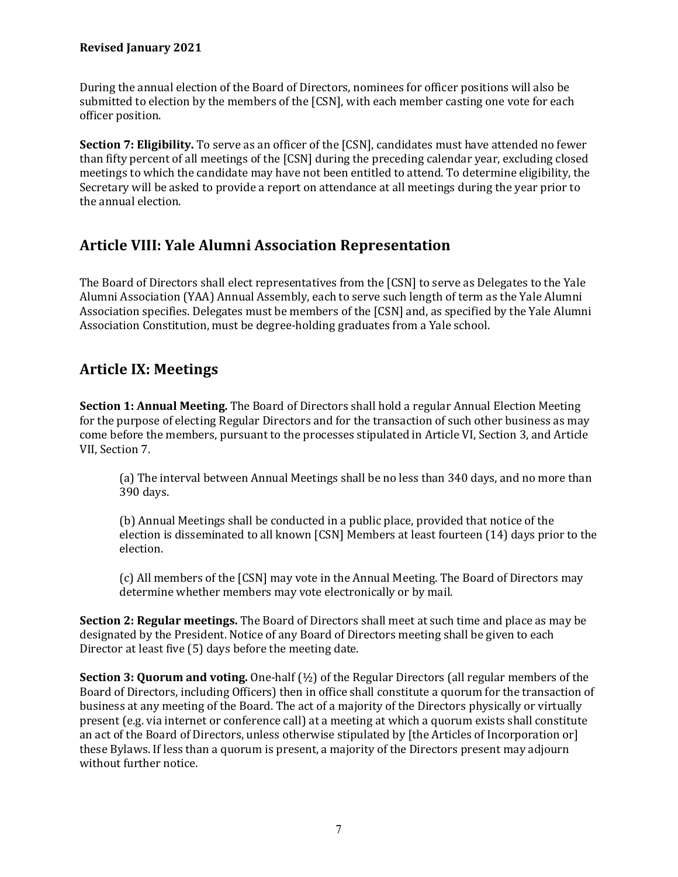During the annual election of the Board of Directors, nominees for officer positions will also be submitted to election by the members of the [CSN], with each member casting one vote for each officer position.

**Section 7: Eligibility.** To serve as an officer of the [CSN], candidates must have attended no fewer than fifty percent of all meetings of the [CSN] during the preceding calendar year, excluding closed meetings to which the candidate may have not been entitled to attend. To determine eligibility, the Secretary will be asked to provide a report on attendance at all meetings during the year prior to the annual election.

### **Article VIII: Yale Alumni Association Representation**

The Board of Directors shall elect representatives from the [CSN] to serve as Delegates to the Yale Alumni Association (YAA) Annual Assembly, each to serve such length of term as the Yale Alumni Association specifies. Delegates must be members of the [CSN] and, as specified by the Yale Alumni Association Constitution, must be degree-holding graduates from a Yale school.

### **Article IX: Meetings**

**Section 1: Annual Meeting.** The Board of Directors shall hold a regular Annual Election Meeting for the purpose of electing Regular Directors and for the transaction of such other business as may come before the members, pursuant to the processes stipulated in Article VI, Section 3, and Article VII, Section 7.

(a) The interval between Annual Meetings shall be no less than 340 days, and no more than 390 days.

(b) Annual Meetings shall be conducted in a public place, provided that notice of the election is disseminated to all known [CSN] Members at least fourteen (14) days prior to the election.

(c) All members of the [CSN] may vote in the Annual Meeting. The Board of Directors may determine whether members may vote electronically or by mail.

**Section 2: Regular meetings.** The Board of Directors shall meet at such time and place as may be designated by the President. Notice of any Board of Directors meeting shall be given to each Director at least five (5) days before the meeting date.

**Section 3: Quorum and voting.** One-half (½) of the Regular Directors (all regular members of the Board of Directors, including Officers) then in office shall constitute a quorum for the transaction of business at any meeting of the Board. The act of a majority of the Directors physically or virtually present (e.g. via internet or conference call) at a meeting at which a quorum exists shall constitute an act of the Board of Directors, unless otherwise stipulated by [the Articles of Incorporation or] these Bylaws. If less than a quorum is present, a majority of the Directors present may adjourn without further notice.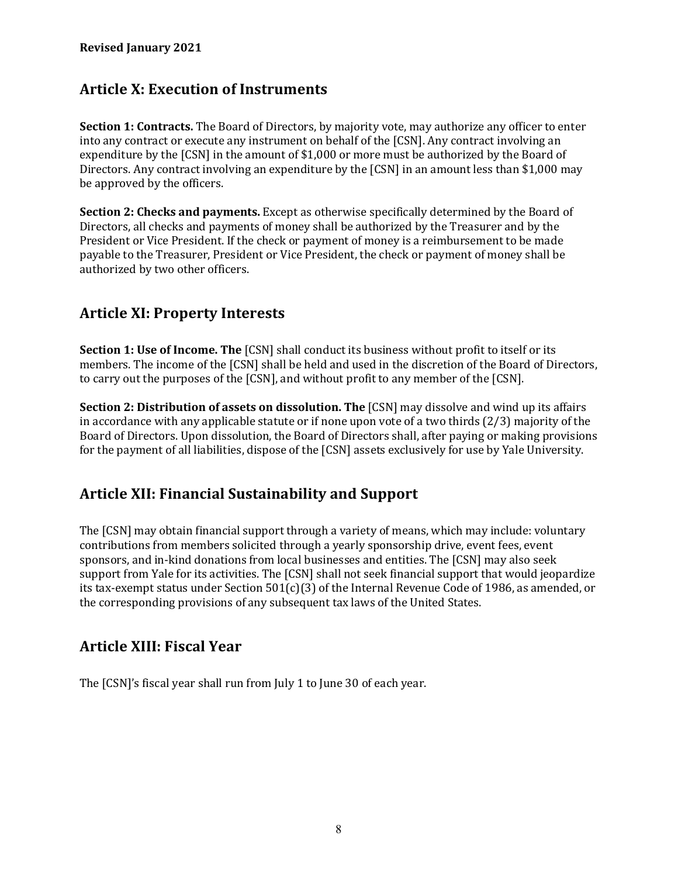### **Article X: Execution of Instruments**

**Section 1: Contracts.** The Board of Directors, by majority vote, may authorize any officer to enter into any contract or execute any instrument on behalf of the [CSN]. Any contract involving an expenditure by the [CSN] in the amount of \$1,000 or more must be authorized by the Board of Directors. Any contract involving an expenditure by the [CSN] in an amount less than \$1,000 may be approved by the officers.

**Section 2: Checks and payments.** Except as otherwise specifically determined by the Board of Directors, all checks and payments of money shall be authorized by the Treasurer and by the President or Vice President. If the check or payment of money is a reimbursement to be made payable to the Treasurer, President or Vice President, the check or payment of money shall be authorized by two other officers.

### **Article XI: Property Interests**

**Section 1: Use of Income. The** [CSN] shall conduct its business without profit to itself or its members. The income of the [CSN] shall be held and used in the discretion of the Board of Directors, to carry out the purposes of the [CSN], and without profit to any member of the [CSN].

**Section 2: Distribution of assets on dissolution. The [CSN] may dissolve and wind up its affairs** in accordance with any applicable statute or if none upon vote of a two thirds (2/3) majority of the Board of Directors. Upon dissolution, the Board of Directors shall, after paying or making provisions for the payment of all liabilities, dispose of the [CSN] assets exclusively for use by Yale University.

### **Article XII: Financial Sustainability and Support**

The [CSN] may obtain financial support through a variety of means, which may include: voluntary contributions from members solicited through a yearly sponsorship drive, event fees, event sponsors, and in-kind donations from local businesses and entities. The [CSN] may also seek support from Yale for its activities. The [CSN] shall not seek financial support that would jeopardize its tax-exempt status under Section  $501(c)(3)$  of the Internal Revenue Code of 1986, as amended, or the corresponding provisions of any subsequent tax laws of the United States.

### **Article XIII: Fiscal Year**

The [CSN]'s fiscal year shall run from July 1 to June 30 of each year.